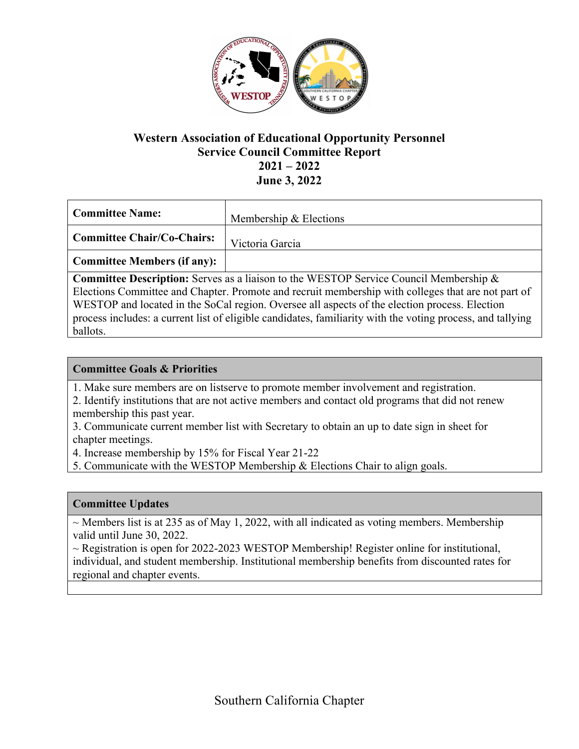

## **Western Association of Educational Opportunity Personnel Service Council Committee Report 2021 – 2022 June 3, 2022**

| Committee Name:                   | Membership & Elections |
|-----------------------------------|------------------------|
| <b>Committee Chair/Co-Chairs:</b> | Victoria Garcia        |
| Committee Members (if any):       |                        |

**Committee Description:** Serves as a liaison to the WESTOP Service Council Membership & Elections Committee and Chapter. Promote and recruit membership with colleges that are not part of WESTOP and located in the SoCal region. Oversee all aspects of the election process. Election process includes: a current list of eligible candidates, familiarity with the voting process, and tallying ballots.

## **Committee Goals & Priorities**

- 1. Make sure members are on listserve to promote member involvement and registration.
- 2. Identify institutions that are not active members and contact old programs that did not renew membership this past year.
- 3. Communicate current member list with Secretary to obtain an up to date sign in sheet for chapter meetings.

4. Increase membership by 15% for Fiscal Year 21-22

5. Communicate with the WESTOP Membership & Elections Chair to align goals.

#### **Committee Updates**

 $\sim$  Members list is at 235 as of May 1, 2022, with all indicated as voting members. Membership valid until June 30, 2022.

 $\sim$  Registration is open for 2022-2023 WESTOP Membership! Register online for institutional, individual, and student membership. Institutional membership benefits from discounted rates for regional and chapter events.